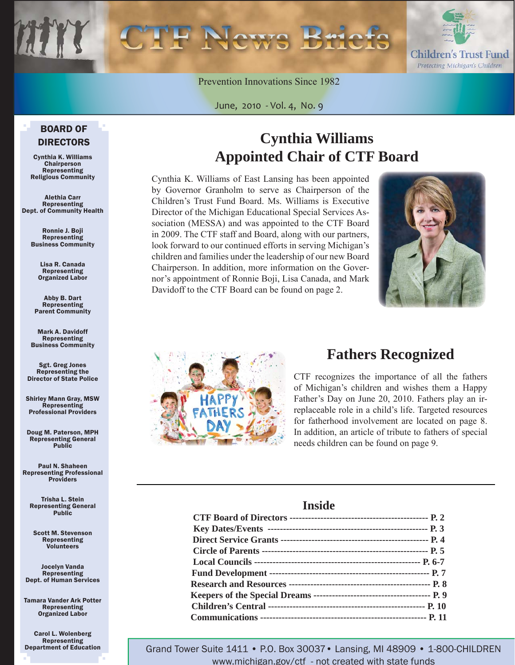Children's Trust Fund Protecting Michigan's Children

Prevention Innovations Since 1982

June, 2010 - Vol. 4, No. 9

#### BOARD OF DIRECTORS

Cynthia K. Williams Chairperson Representing Religious Community

Alethia Carr Representing Dept. of Community Health

> Ronnie J. Boji Representing Business Community

> > Lisa R. Canada Representing Organized Labor

Abby B. Dart Representing Parent Community

Mark A. Davidoff Representing Business Community

Sgt. Greg Jones Representing the Director of State Police

Shirley Mann Gray, MSW Representing Professional Providers

Doug M. Paterson, MPH Representing General Public

Paul N. Shaheen Representing Professional Providers

Trisha L. Stein Representing General Public

Scott M. Stevenson Representing Volunteers

Jocelyn Vanda Representing Dept. of Human Services

Tamara Vander Ark Potter Representing Organized Labor

Carol L. Wolenberg Representing Department of Education

# **Cynthia Williams Appointed Chair of CTF Board**

Cynthia K. Williams of East Lansing has been appointed by Governor Granholm to serve as Chairperson of the Children's Trust Fund Board. Ms. Williams is Executive Director of the Michigan Educational Special Services Association (MESSA) and was appointed to the CTF Board in 2009. The CTF staff and Board, along with our partners, look forward to our continued efforts in serving Michigan's children and families under the leadership of our new Board Chairperson. In addition, more information on the Governor's appointment of Ronnie Boji, Lisa Canada, and Mark Davidoff to the CTF Board can be found [on page 2.](#page-1-0) 





# **Fathers Recognized**

CTF recognizes the importance of all the fathers of Michigan's children and wishes them a Happy Father's Day on June 20, 2010. Fathers play an irreplaceable role in a child's life. Targeted resources for fatherhood involvement are located [on page 8.](#page-7-0)  In addition, an article of tribute to fathers of special needs children can be found [on page 9.](#page-8-0)

#### **Inside**

Grand Tower Suite 1411 • P.O. Box 30037• Lansing, MI 48909 • 1-800-CHILDREN www.michigan.gov/ctf - not created with state funds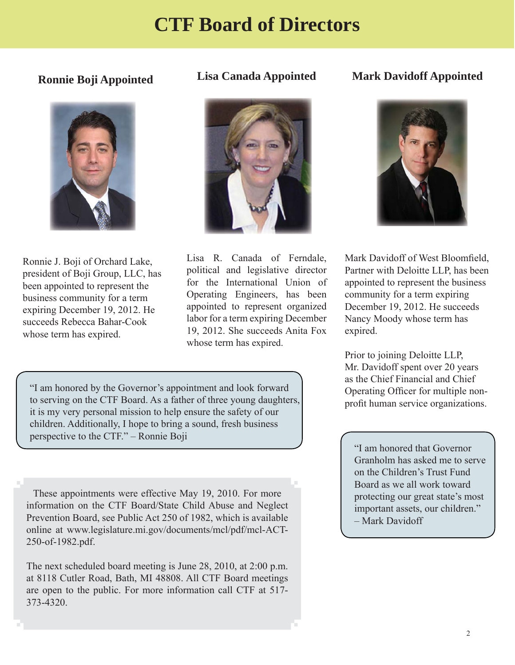# **CTF Board of Directors**

### <span id="page-1-0"></span>**Ronnie Boji Appointed**



Ronnie J. Boji of Orchard Lake, president of Boji Group, LLC, has been appointed to represent the business community for a term expiring December 19, 2012. He succeeds Rebecca Bahar-Cook whose term has expired.

#### **Lisa Canada Appointed**



Lisa R. Canada of Ferndale, political and legislative director for the International Union of Operating Engineers, has been appointed to represent organized labor for a term expiring December 19, 2012. She succeeds Anita Fox whose term has expired.

### **Mark Davidoff Appointed**



Mark Davidoff of West Bloomfield, Partner with Deloitte LLP, has been appointed to represent the business community for a term expiring December 19, 2012. He succeeds Nancy Moody whose term has expired.

Prior to joining Deloitte LLP, Mr. Davidoff spent over 20 years as the Chief Financial and Chief Operating Officer for multiple nonprofit human service organizations.

"I am honored that Governor Granholm has asked me to serve on the Children's Trust Fund Board as we all work toward protecting our great state's most important assets, our children." – Mark Davidoff

"I am honored by the Governor's appointment and look forward to serving on the CTF Board. As a father of three young daughters, it is my very personal mission to help ensure the safety of our children. Additionally, I hope to bring a sound, fresh business perspective to the CTF." – Ronnie Boji

These appointments were effective May 19, 2010. For more information on the CTF Board/State Child Abuse and Neglect Prevention Board, see Public Act 250 of 1982, which is available online at www.legislature.mi.gov/documents/mcl/pdf/mcl-ACT-250-of-1982.pdf.

The next scheduled board meeting is June 28, 2010, at 2:00 p.m. at 8118 Cutler Road, Bath, MI 48808. All CTF Board meetings are open to the public. For more information call CTF at 517- 373-4320.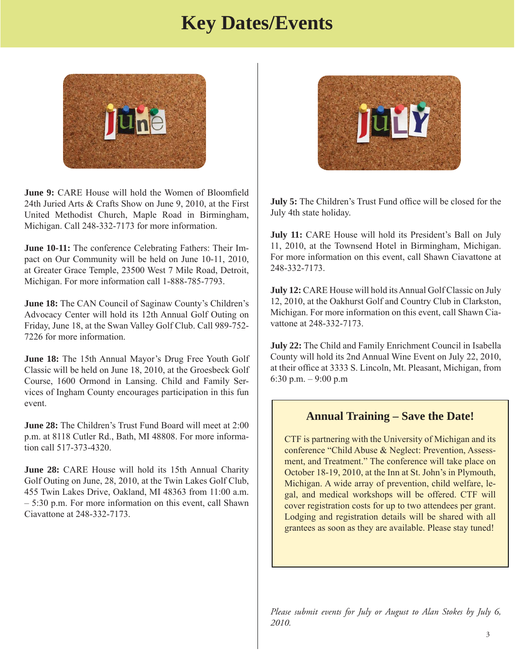# **Key Dates/Events**

<span id="page-2-0"></span>

**June 9:** CARE House will hold the Women of Bloomfield 24th Juried Arts & Crafts Show on June 9, 2010, at the First United Methodist Church, Maple Road in Birmingham, Michigan. Call 248-332-7173 for more information.

**June 10-11:** The conference Celebrating Fathers: Their Impact on Our Community will be held on June 10-11, 2010, at Greater Grace Temple, 23500 West 7 Mile Road, Detroit, Michigan. For more information call 1-888-785-7793.

**June 18:** The CAN Council of Saginaw County's Children's Advocacy Center will hold its 12th Annual Golf Outing on Friday, June 18, at the Swan Valley Golf Club. Call 989-752- 7226 for more information.

**June 18:** The 15th Annual Mayor's Drug Free Youth Golf Classic will be held on June 18, 2010, at the Groesbeck Golf Course, 1600 Ormond in Lansing. Child and Family Services of Ingham County encourages participation in this fun event.

**June 28:** The Children's Trust Fund Board will meet at 2:00 p.m. at 8118 Cutler Rd., Bath, MI 48808. For more information call 517-373-4320.

**June 28:** CARE House will hold its 15th Annual Charity Golf Outing on June, 28, 2010, at the Twin Lakes Golf Club, 455 Twin Lakes Drive, Oakland, MI 48363 from 11:00 a.m. – 5:30 p.m. For more information on this event, call Shawn Ciavattone at 248-332-7173.



**July 5:** The Children's Trust Fund office will be closed for the July 4th state holiday.

**July 11:** CARE House will hold its President's Ball on July 11, 2010, at the Townsend Hotel in Birmingham, Michigan. For more information on this event, call Shawn Ciavattone at 248-332-7173.

**July 12:** CARE House will hold its Annual Golf Classic on July 12, 2010, at the Oakhurst Golf and Country Club in Clarkston, Michigan. For more information on this event, call Shawn Ciavattone at 248-332-7173.

**July 22:** The Child and Family Enrichment Council in Isabella County will hold its 2nd Annual Wine Event on July 22, 2010, at their office at 3333 S. Lincoln, Mt. Pleasant, Michigan, from 6:30 p.m. – 9:00 p.m

#### **Annual Training – Save the Date!**

CTF is partnering with the University of Michigan and its conference "Child Abuse & Neglect: Prevention, Assessment, and Treatment." The conference will take place on October 18-19, 2010, at the Inn at St. John's in Plymouth, Michigan. A wide array of prevention, child welfare, legal, and medical workshops will be offered. CTF will cover registration costs for up to two attendees per grant. Lodging and registration details will be shared with all grantees as soon as they are available. Please stay tuned!

*Please submit events for July or August to Alan Stokes by July 6, 2010.*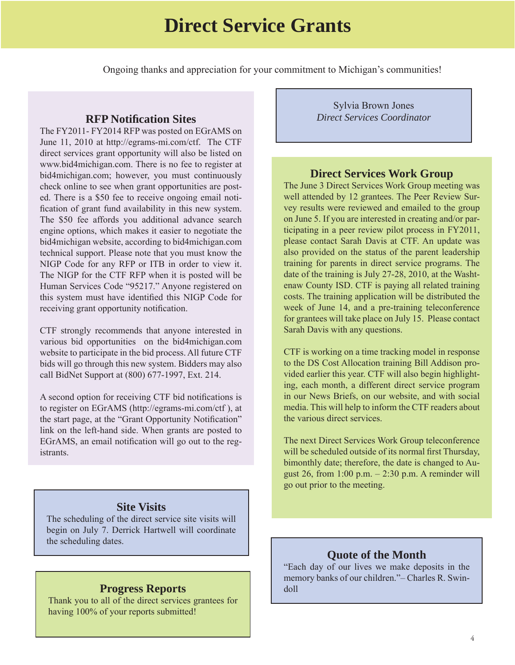# **Direct Service Grants**

<span id="page-3-0"></span>Ongoing thanks and appreciation for your commitment to Michigan's communities!

#### **RFP Notifi cation Sites**

The FY2011- FY2014 RFP was posted on EGrAMS on June 11, 2010 at http://egrams-mi.com/ctf. The CTF direct services grant opportunity will also be listed on www.bid4michigan.com. There is no fee to register at bid4michigan.com; however, you must continuously check online to see when grant opportunities are posted. There is a \$50 fee to receive ongoing email notification of grant fund availability in this new system. The \$50 fee affords you additional advance search engine options, which makes it easier to negotiate the bid4michigan website, according to bid4michigan.com technical support. Please note that you must know the NIGP Code for any RFP or ITB in order to view it. The NIGP for the CTF RFP when it is posted will be Human Services Code "95217." Anyone registered on this system must have identified this NIGP Code for receiving grant opportunity notification.

CTF strongly recommends that anyone interested in various bid opportunities on the bid4michigan.com website to participate in the bid process. All future CTF bids will go through this new system. Bidders may also call BidNet Support at (800) 677-1997, Ext. 214.

A second option for receiving CTF bid notifications is to register on EGrAMS (http://egrams-mi.com/ctf ), at the start page, at the "Grant Opportunity Notification" link on the left-hand side. When grants are posted to EGrAMS, an email notification will go out to the registrants.

#### **Site Visits**

The scheduling of the direct service site visits will begin on July 7. Derrick Hartwell will coordinate the scheduling dates.

#### **Progress Reports**

Thank you to all of the direct services grantees for having 100% of your reports submitted!

Sylvia Brown Jones *Direct Services Coordinator*

#### **Direct Services Work Group**

The June 3 Direct Services Work Group meeting was well attended by 12 grantees. The Peer Review Survey results were reviewed and emailed to the group on June 5. If you are interested in creating and/or participating in a peer review pilot process in FY2011, please contact Sarah Davis at CTF. An update was also provided on the status of the parent leadership training for parents in direct service programs. The date of the training is July 27-28, 2010, at the Washtenaw County ISD. CTF is paying all related training costs. The training application will be distributed the week of June 14, and a pre-training teleconference for grantees will take place on July 15. Please contact Sarah Davis with any questions.

CTF is working on a time tracking model in response to the DS Cost Allocation training Bill Addison provided earlier this year. CTF will also begin highlighting, each month, a different direct service program in our News Briefs, on our website, and with social media. This will help to inform the CTF readers about the various direct services.

The next Direct Services Work Group teleconference will be scheduled outside of its normal first Thursday, bimonthly date; therefore, the date is changed to August 26, from 1:00 p.m. – 2:30 p.m. A reminder will go out prior to the meeting.

#### **Quote of the Month**

"Each day of our lives we make deposits in the memory banks of our children."– Charles R. Swindoll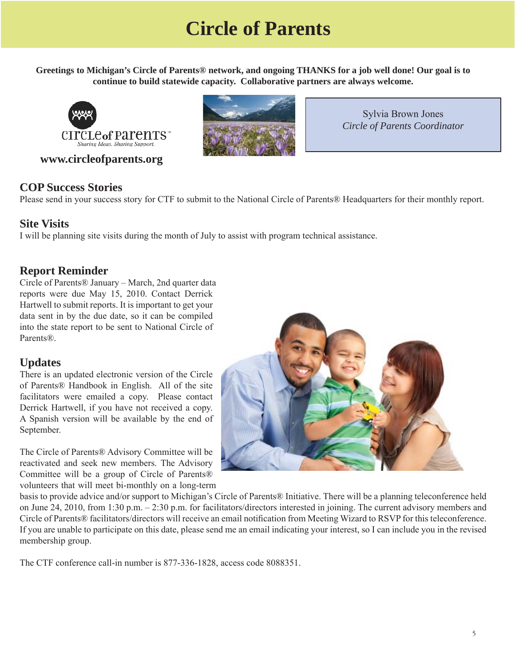# **Circle of Parents**

<span id="page-4-0"></span>**Greetings to Michigan's Circle of Parents® network, and ongoing THANKS for a job well done! Our goal is to continue to build statewide capacity. Collaborative partners are always welcome.** 



 **www.circleofparents.org** 



Sylvia Brown Jones *Circle of Parents Coordinator*

#### **COP Success Stories**

Please send in your success story for CTF to submit to the National Circle of Parents® Headquarters for their monthly report.

#### **Site Visits**

I will be planning site visits during the month of July to assist with program technical assistance.

#### **Report Reminder**

Circle of Parents® January – March, 2nd quarter data reports were due May 15, 2010. Contact Derrick Hartwell to submit reports. It is important to get your data sent in by the due date, so it can be compiled into the state report to be sent to National Circle of Parents®.

#### **Updates**

There is an updated electronic version of the Circle of Parents® Handbook in English. All of the site facilitators were emailed a copy. Please contact Derrick Hartwell, if you have not received a copy. A Spanish version will be available by the end of September.

The Circle of Parents® Advisory Committee will be reactivated and seek new members. The Advisory Committee will be a group of Circle of Parents® volunteers that will meet bi-monthly on a long-term



basis to provide advice and/or support to Michigan's Circle of Parents® Initiative. There will be a planning teleconference held on June 24, 2010, from 1:30 p.m. – 2:30 p.m. for facilitators/directors interested in joining. The current advisory members and Circle of Parents® facilitators/directors will receive an email notification from Meeting Wizard to RSVP for this teleconference. If you are unable to participate on this date, please send me an email indicating your interest, so I can include you in the revised membership group.

The CTF conference call-in number is 877-336-1828, access code 8088351.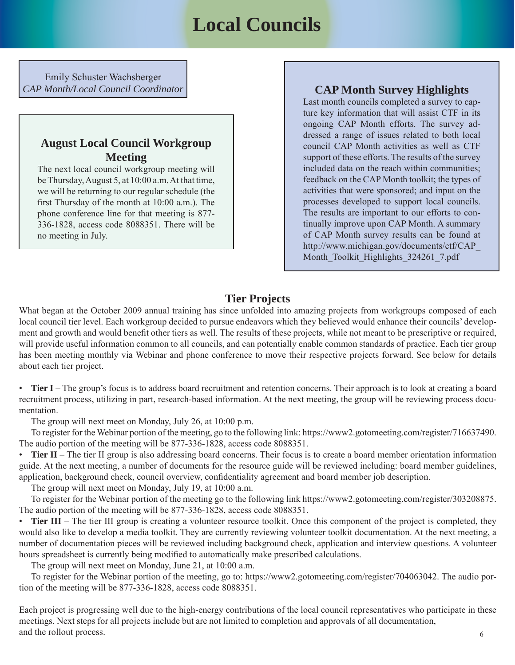# **Local Councils**

<span id="page-5-0"></span>Emily Schuster Wachsberger *CAP Month/Local Council Coordinator* **CAP Month Survey Highlights**

#### **August Local Council Workgroup Meeting**

The next local council workgroup meeting will be Thursday, August 5, at 10:00 a.m. At that time, we will be returning to our regular schedule (the first Thursday of the month at  $10:00$  a.m.). The phone conference line for that meeting is 877- 336-1828, access code 8088351. There will be no meeting in July.

Last month councils completed a survey to capture key information that will assist CTF in its ongoing CAP Month efforts. The survey addressed a range of issues related to both local council CAP Month activities as well as CTF support of these efforts. The results of the survey included data on the reach within communities; feedback on the CAP Month toolkit; the types of activities that were sponsored; and input on the processes developed to support local councils. The results are important to our efforts to continually improve upon CAP Month. A summary of CAP Month survey results can be found at [http://www.michigan.gov/documents/ctf/CAP\\_](http://www.michigan.gov/documents/ctf/CAP_Month_Toolkit_Highlights_324261_7.pdf) Month Toolkit Highlights 324261 7.pdf

### **Tier Projects**

What began at the October 2009 annual training has since unfolded into amazing projects from workgroups composed of each local council tier level. Each workgroup decided to pursue endeavors which they believed would enhance their councils' development and growth and would benefit other tiers as well. The results of these projects, while not meant to be prescriptive or required, will provide useful information common to all councils, and can potentially enable common standards of practice. Each tier group has been meeting monthly via Webinar and phone conference to move their respective projects forward. See below for details about each tier project.

• **Tier I** – The group's focus is to address board recruitment and retention concerns. Their approach is to look at creating a board recruitment process, utilizing in part, research-based information. At the next meeting, the group will be reviewing process documentation.

The group will next meet on Monday, July 26, at 10:00 p.m.

 To register for the Webinar portion of the meeting, go to the following link: https://www2.gotomeeting.com/register/716637490. The audio portion of the meeting will be 877-336-1828, access code 8088351.

• **Tier II** – The tier II group is also addressing board concerns. Their focus is to create a board member orientation information guide. At the next meeting, a number of documents for the resource guide will be reviewed including: board member guidelines, application, background check, council overview, confidentiality agreement and board member job description.

The group will next meet on Monday, July 19, at 10:00 a.m.

 To register for the Webinar portion of the meeting go to the following link https://www2.gotomeeting.com/register/303208875. The audio portion of the meeting will be 877-336-1828, access code 8088351.

• **Tier III** – The tier III group is creating a volunteer resource toolkit. Once this component of the project is completed, they would also like to develop a media toolkit. They are currently reviewing volunteer toolkit documentation. At the next meeting, a number of documentation pieces will be reviewed including background check, application and interview questions. A volunteer hours spreadsheet is currently being modified to automatically make prescribed calculations.

The group will next meet on Monday, June 21, at 10:00 a.m.

 To register for the Webinar portion of the meeting, go to: https://www2.gotomeeting.com/register/704063042. The audio portion of the meeting will be 877-336-1828, access code 8088351.

Each project is progressing well due to the high-energy contributions of the local council representatives who participate in these meetings. Next steps for all projects include but are not limited to completion and approvals of all documentation, and the rollout process.  $\sim$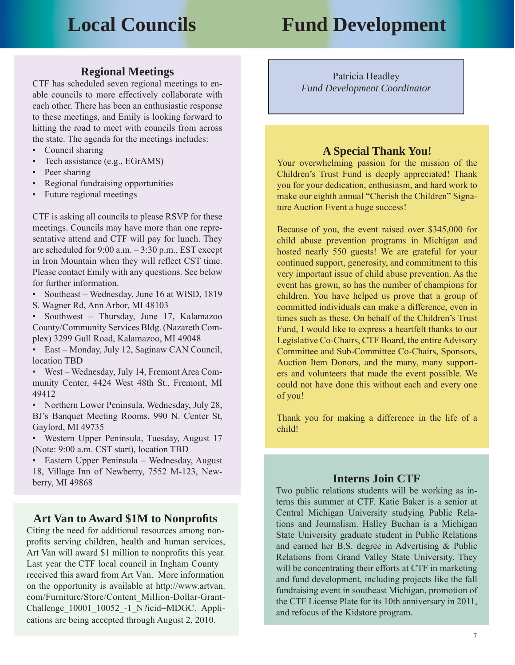# <span id="page-6-0"></span>**Local Councils Fund Development**

#### **Regional Meetings**

CTF has scheduled seven regional meetings to enable councils to more effectively collaborate with each other. There has been an enthusiastic response to these meetings, and Emily is looking forward to hitting the road to meet with councils from across the state. The agenda for the meetings includes:

- Council sharing
- Tech assistance (e.g., EGrAMS)
- Peer sharing
- Regional fundraising opportunities
- Future regional meetings

CTF is asking all councils to please RSVP for these meetings. Councils may have more than one representative attend and CTF will pay for lunch. They are scheduled for  $9:00$  a.m.  $-3:30$  p.m., EST except in Iron Mountain when they will reflect CST time. Please contact Emily with any questions. See below for further information.

- Southeast Wednesday, June 16 at WISD, 1819
- S. Wagner Rd, Ann Arbor, MI 48103

• Southwest – Thursday, June 17, Kalamazoo County/Community Services Bldg. (Nazareth Complex) 3299 Gull Road, Kalamazoo, MI 49048

• East – Monday, July 12, Saginaw CAN Council, location TBD

• West – Wednesday, July 14, Fremont Area Community Center, 4424 West 48th St., Fremont, MI 49412

• Northern Lower Peninsula, Wednesday, July 28, BJ's Banquet Meeting Rooms, 990 N. Center St, Gaylord, MI 49735

• Western Upper Peninsula, Tuesday, August 17 (Note: 9:00 a.m. CST start), location TBD

• Eastern Upper Peninsula – Wednesday, August 18, Village Inn of Newberry, 7552 M-123, Newberry, MI 49868

#### Art Van to Award \$1M to Nonprofits

Citing the need for additional resources among nonprofits serving children, health and human services, Art Van will award \$1 million to nonprofits this year. Last year the CTF local council in Ingham County received this award from Art Van. More information on the opportunity is available at http://www.artvan. [com/Furniture/Store/Content\\_Million-Dollar-Grant-](http://www.artvan.com/Furniture/Store/Content_Million-Dollar-Grant-Challenge_10001_10052_-1_N?icid=MDGC)Challenge\_10001\_10052\_-1\_N?icid=MDGC. Applications are being accepted through August 2, 2010.

Patricia Headley *Fund Development Coordinator*

#### **A Special Thank You!**

Your overwhelming passion for the mission of the Children's Trust Fund is deeply appreciated! Thank you for your dedication, enthusiasm, and hard work to make our eighth annual "Cherish the Children" Signature Auction Event a huge success!

Because of you, the event raised over \$345,000 for child abuse prevention programs in Michigan and hosted nearly 550 guests! We are grateful for your continued support, generosity, and commitment to this very important issue of child abuse prevention. As the event has grown, so has the number of champions for children. You have helped us prove that a group of committed individuals can make a difference, even in times such as these. On behalf of the Children's Trust Fund, I would like to express a heartfelt thanks to our Legislative Co-Chairs, CTF Board, the entire Advisory Committee and Sub-Committee Co-Chairs, Sponsors, Auction Item Donors, and the many, many supporters and volunteers that made the event possible. We could not have done this without each and every one of you!

Thank you for making a difference in the life of a child!

#### **Interns Join CTF**

Two public relations students will be working as interns this summer at CTF. Katie Baker is a senior at Central Michigan University studying Public Relations and Journalism. Halley Buchan is a Michigan State University graduate student in Public Relations and earned her B.S. degree in Advertising & Public Relations from Grand Valley State University. They will be concentrating their efforts at CTF in marketing and fund development, including projects like the fall fundraising event in southeast Michigan, promotion of the CTF License Plate for its 10th anniversary in 2011, and refocus of the Kidstore program.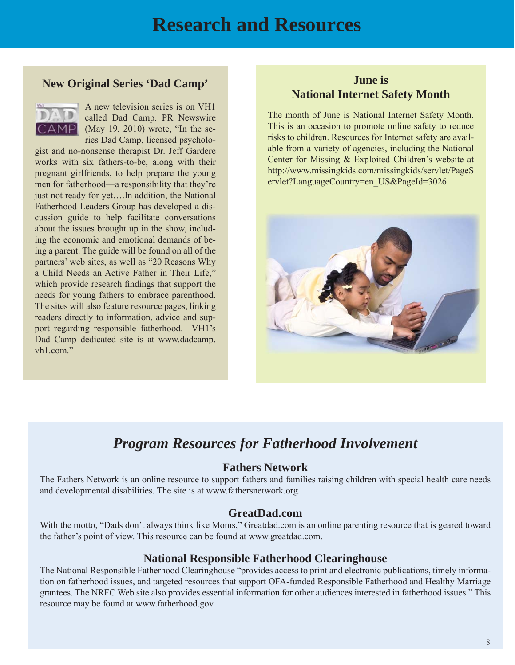# **Research and Resources**

#### <span id="page-7-0"></span>**New Original Series 'Dad Camp'**



A new television series is on VH1 called Dad Camp. PR Newswire  $\mathbf{AP}$  (May 19, 2010) wrote, "In the series Dad Camp, licensed psycholo-

gist and no-nonsense therapist Dr. Jeff Gardere works with six fathers-to-be, along with their pregnant girlfriends, to help prepare the young men for fatherhood—a responsibility that they're just not ready for yet….In addition, the National Fatherhood Leaders Group has developed a discussion guide to help facilitate conversations about the issues brought up in the show, including the economic and emotional demands of being a parent. The guide will be found on all of the partners' web sites, as well as "20 Reasons Why a Child Needs an Active Father in Their Life," which provide research findings that support the needs for young fathers to embrace parenthood. The sites will also feature resource pages, linking readers directly to information, advice and support regarding responsible fatherhood. VH1's [Dad Camp dedicated site is at www.dadcamp.](www.dadcamp.vh1.com) vh1.com."

#### **June is National Internet Safety Month**

The month of June is National Internet Safety Month. This is an occasion to promote online safety to reduce risks to children. Resources for Internet safety are available from a variety of agencies, including the National Center for Missing & Exploited Children's website at [http://www.missingkids.com/missingkids/servlet/PageS](http://www.missingkids.com/missingkids/servlet/PageServlet?LanguageCountry=en_US&PageId=3026) ervlet?LanguageCountry=en\_US&PageId=3026.



# *Program Resources for Fatherhood Involvement*

#### **Fathers Network**

The Fathers Network is an online resource to support fathers and families raising children with special health care needs and developmental disabilities. The site is at www.fathersnetwork.org.

#### **GreatDad.com**

With the motto, "Dads don't always think like Moms," Greatdad.com is an online parenting resource that is geared toward the father's point of view. This resource can be found at www.greatdad.com.

#### **National Responsible Fatherhood Clearinghouse**

The National Responsible Fatherhood Clearinghouse "provides access to print and electronic publications, timely information on fatherhood issues, and targeted resources that support OFA-funded Responsible Fatherhood and Healthy Marriage grantees. The NRFC Web site also provides essential information for other audiences interested in fatherhood issues." This resource may be found at www.fatherhood.gov.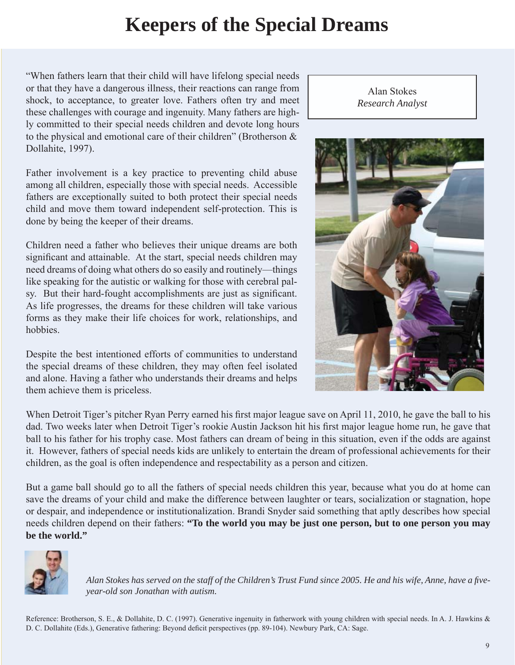# **Keepers of the Special Dreams**

<span id="page-8-0"></span>"When fathers learn that their child will have lifelong special needs or that they have a dangerous illness, their reactions can range from shock, to acceptance, to greater love. Fathers often try and meet these challenges with courage and ingenuity. Many fathers are highly committed to their special needs children and devote long hours to the physical and emotional care of their children" (Brotherson & Dollahite, 1997).

Father involvement is a key practice to preventing child abuse among all children, especially those with special needs. Accessible fathers are exceptionally suited to both protect their special needs child and move them toward independent self-protection. This is done by being the keeper of their dreams.

Children need a father who believes their unique dreams are both significant and attainable. At the start, special needs children may need dreams of doing what others do so easily and routinely—things like speaking for the autistic or walking for those with cerebral palsy. But their hard-fought accomplishments are just as significant. As life progresses, the dreams for these children will take various forms as they make their life choices for work, relationships, and hobbies.

Despite the best intentioned efforts of communities to understand the special dreams of these children, they may often feel isolated and alone. Having a father who understands their dreams and helps them achieve them is priceless.

Alan Stokes *Research Analyst*



When Detroit Tiger's pitcher Ryan Perry earned his first major league save on April 11, 2010, he gave the ball to his dad. Two weeks later when Detroit Tiger's rookie Austin Jackson hit his first major league home run, he gave that ball to his father for his trophy case. Most fathers can dream of being in this situation, even if the odds are against it. However, fathers of special needs kids are unlikely to entertain the dream of professional achievements for their children, as the goal is often independence and respectability as a person and citizen.

But a game ball should go to all the fathers of special needs children this year, because what you do at home can save the dreams of your child and make the difference between laughter or tears, socialization or stagnation, hope or despair, and independence or institutionalization. Brandi Snyder said something that aptly describes how special needs children depend on their fathers: **"To the world you may be just one person, but to one person you may be the world."** 



Alan Stokes has served on the staff of the Children's Trust Fund since 2005. He and his wife, Anne, have a five*year-old son Jonathan with autism.* 

Reference: Brotherson, S. E., & Dollahite, D. C. (1997). Generative ingenuity in fatherwork with young children with special needs. In A. J. Hawkins & D. C. Dollahite (Eds.), Generative fathering: Beyond deficit perspectives (pp. 89-104). Newbury Park, CA: Sage.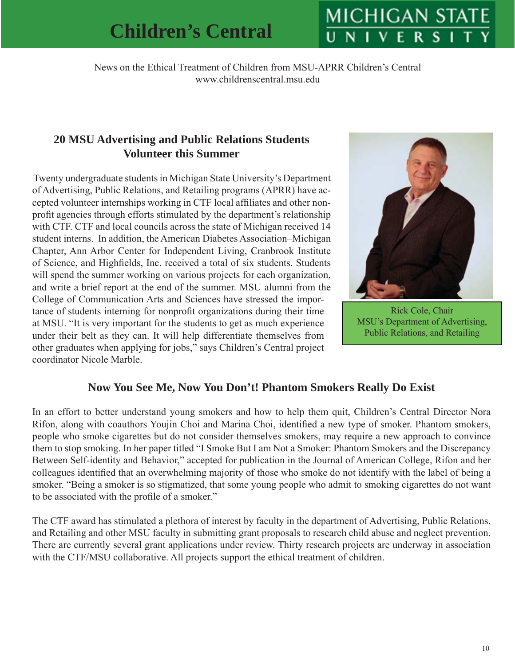# **MICHIGAN STAT**

<span id="page-9-0"></span>News on the Ethical Treatment of Children from MSU-APRR Children's Central www.childrenscentral.msu.edu

### **20 MSU Advertising and Public Relations Students Volunteer this Summer**

Twenty undergraduate students in Michigan State University's Department of Advertising, Public Relations, and Retailing programs (APRR) have accepted volunteer internships working in CTF local affiliates and other nonprofit agencies through efforts stimulated by the department's relationship with CTF. CTF and local councils across the state of Michigan received 14 student interns. In addition, the American Diabetes Association–Michigan Chapter, Ann Arbor Center for Independent Living, Cranbrook Institute of Science, and Highfields, Inc. received a total of six students. Students will spend the summer working on various projects for each organization, and write a brief report at the end of the summer. MSU alumni from the College of Communication Arts and Sciences have stressed the importance of students interning for nonprofit organizations during their time at MSU. "It is very important for the students to get as much experience under their belt as they can. It will help differentiate themselves from other graduates when applying for jobs," says Children's Central project coordinator Nicole Marble.



Rick Cole, Chair MSU's Department of Advertising, Public Relations, and Retailing

### **Now You See Me, Now You Don't! Phantom Smokers Really Do Exist**

In an effort to better understand young smokers and how to help them quit, Children's Central Director Nora Rifon, along with coauthors Youjin Choi and Marina Choi, identified a new type of smoker. Phantom smokers, people who smoke cigarettes but do not consider themselves smokers, may require a new approach to convince them to stop smoking. In her paper titled "I Smoke But I am Not a Smoker: Phantom Smokers and the Discrepancy Between Self-identity and Behavior," accepted for publication in the Journal of American College, Rifon and her colleagues identified that an overwhelming majority of those who smoke do not identify with the label of being a smoker. "Being a smoker is so stigmatized, that some young people who admit to smoking cigarettes do not want to be associated with the profile of a smoker."

The CTF award has stimulated a plethora of interest by faculty in the department of Advertising, Public Relations, and Retailing and other MSU faculty in submitting grant proposals to research child abuse and neglect prevention. There are currently several grant applications under review. Thirty research projects are underway in association with the CTF/MSU collaborative. All projects support the ethical treatment of children.